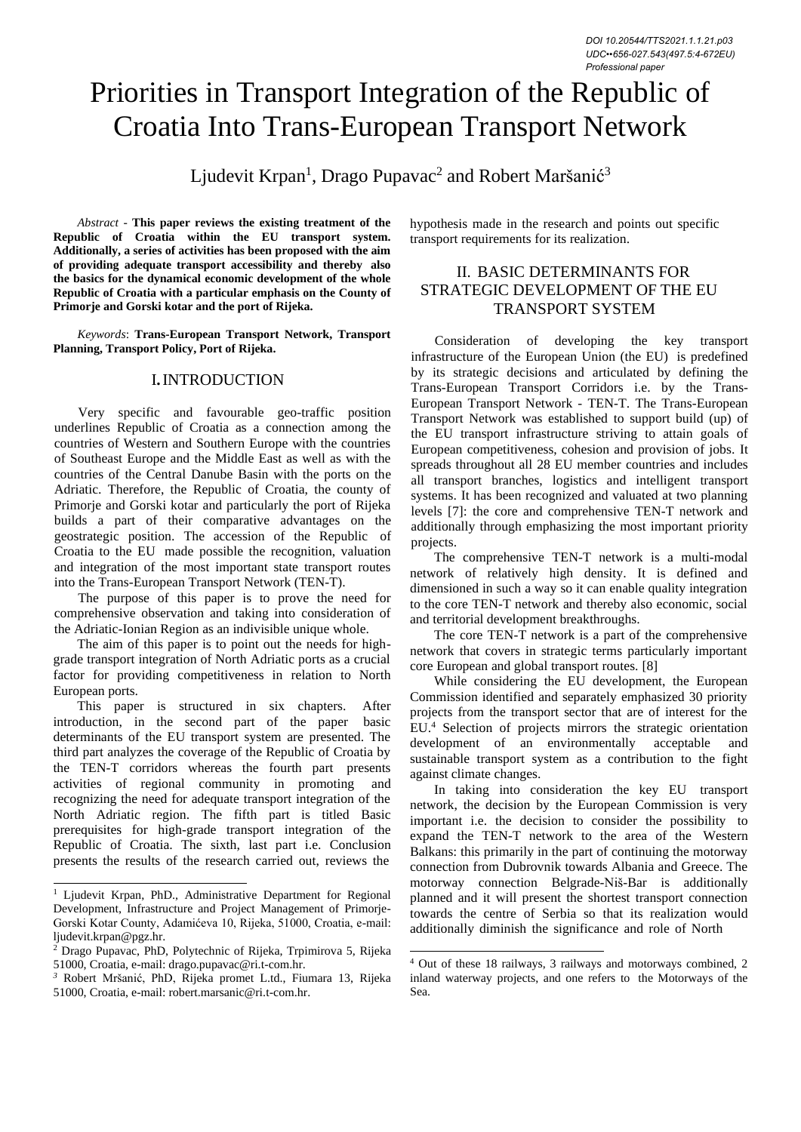# Priorities in Transport Integration of the Republic of Croatia Into Trans-European Transport Network

Ljudevit Krpan<sup>1</sup>, Drago Pupavac<sup>2</sup> and Robert Maršanić<sup>3</sup>

*Abstract* - **This paper reviews the existing treatment of the Republic of Croatia within the EU transport system. Additionally, a series of activities has been proposed with the aim of providing adequate transport accessibility and thereby also the basics for the dynamical economic development of the whole Republic of Croatia with a particular emphasis on the County of Primorje and Gorski kotar and the port of Rijeka.**

*Keywords*: **Trans-European Transport Network, Transport Planning, Transport Policy, Port of Rijeka.**

#### I**.**INTRODUCTION

Very specific and favourable geo-traffic position underlines Republic of Croatia as a connection among the countries of Western and Southern Europe with the countries of Southeast Europe and the Middle East as well as with the countries of the Central Danube Basin with the ports on the Adriatic. Therefore, the Republic of Croatia, the county of Primorje and Gorski kotar and particularly the port of Rijeka builds a part of their comparative advantages on the geostrategic position. The accession of the Republic of Croatia to the EU made possible the recognition, valuation and integration of the most important state transport routes into the Trans-European Transport Network (TEN-T).

The purpose of this paper is to prove the need for comprehensive observation and taking into consideration of the Adriatic-Ionian Region as an indivisible unique whole.

The aim of this paper is to point out the needs for highgrade transport integration of North Adriatic ports as a crucial factor for providing competitiveness in relation to North European ports.

This paper is structured in six chapters. After introduction, in the second part of the paper basic determinants of the EU transport system are presented. The third part analyzes the coverage of the Republic of Croatia by the TEN-T corridors whereas the fourth part presents activities of regional community in promoting and recognizing the need for adequate transport integration of the North Adriatic region. The fifth part is titled Basic prerequisites for high-grade transport integration of the Republic of Croatia. The sixth, last part i.e. Conclusion presents the results of the research carried out, reviews the

hypothesis made in the research and points out specific transport requirements for its realization.

## II. BASIC DETERMINANTS FOR STRATEGIC DEVELOPMENT OF THE EU TRANSPORT SYSTEM

Consideration of developing the key transport infrastructure of the European Union (the EU) is predefined by its strategic decisions and articulated by defining the Trans-European Transport Corridors i.e. by the Trans-European Transport Network - TEN-T. The Trans-European Transport Network was established to support build (up) of the EU transport infrastructure striving to attain goals of European competitiveness, cohesion and provision of jobs. It spreads throughout all 28 EU member countries and includes all transport branches, logistics and intelligent transport systems. It has been recognized and valuated at two planning levels [7]: the core and comprehensive TEN-T network and additionally through emphasizing the most important priority projects.

The comprehensive TEN-T network is a multi-modal network of relatively high density. It is defined and dimensioned in such a way so it can enable quality integration to the core TEN-T network and thereby also economic, social and territorial development breakthroughs.

The core TEN-T network is a part of the comprehensive network that covers in strategic terms particularly important core European and global transport routes. [8]

While considering the EU development, the European Commission identified and separately emphasized 30 priority projects from the transport sector that are of interest for the EU.<sup>4</sup> Selection of projects mirrors the strategic orientation development of an environmentally acceptable and sustainable transport system as a contribution to the fight against climate changes.

In taking into consideration the key EU transport network, the decision by the European Commission is very important i.e. the decision to consider the possibility to expand the TEN-T network to the area of the Western Balkans: this primarily in the part of continuing the motorway connection from Dubrovnik towards Albania and Greece. The motorway connection Belgrade-Niš-Bar is additionally planned and it will present the shortest transport connection towards the centre of Serbia so that its realization would additionally diminish the significance and role of North

<sup>&</sup>lt;sup>1</sup> Ljudevit Krpan, PhD., Administrative Department for Regional Development, Infrastructure and Project Management of Primorje-Gorski Kotar County, Adamićeva 10, Rijeka, 51000, Croatia, e-mail: [ljudevit.krpan@pgz.hr.](mailto:ljudevit.krpan@pgz.hr)

<sup>2</sup> Drago Pupavac, PhD, Polytechnic of Rijeka, Trpimirova 5, Rijeka 51000, Croatia, e-mail[: drago.pupavac@ri.t-com.hr.](mailto:drago.pupavac@ri.t-com.hr)

*<sup>3</sup>* Robert Mršanić, PhD, Rijeka promet L.td., Fiumara 13, Rijeka 51000, Croatia, e-mail: [robert.marsanic@ri.t-com.hr.](mailto:robert.marsanic@ri.t-com.hr)

<sup>4</sup> Out of these 18 railways, 3 railways and motorways combined, 2 inland waterway projects, and one refers to the Motorways of the Sea.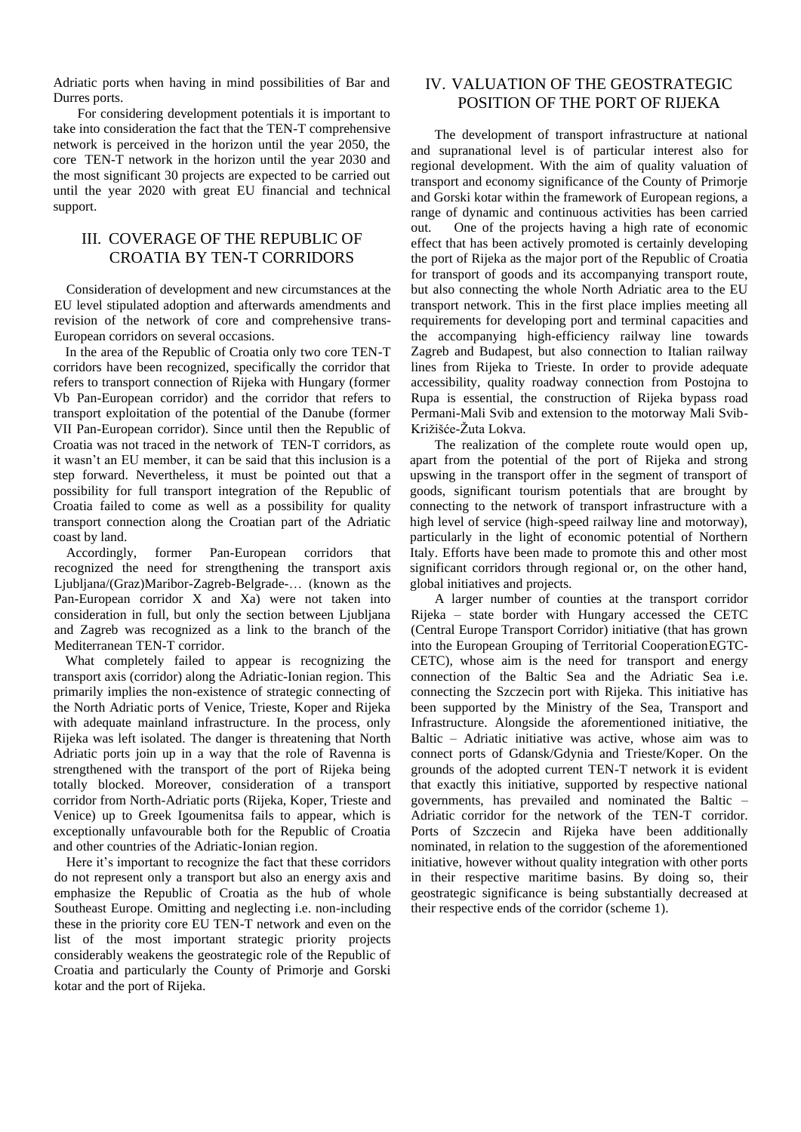Adriatic ports when having in mind possibilities of Bar and Durres ports.

For considering development potentials it is important to take into consideration the fact that the TEN-T comprehensive network is perceived in the horizon until the year 2050, the core TEN-T network in the horizon until the year 2030 and the most significant 30 projects are expected to be carried out until the year 2020 with great EU financial and technical support.

## III. COVERAGE OF THE REPUBLIC OF CROATIA BY TEN-T CORRIDORS

Consideration of development and new circumstances at the EU level stipulated adoption and afterwards amendments and revision of the network of core and comprehensive trans-European corridors on several occasions.

In the area of the Republic of Croatia only two core TEN-T corridors have been recognized, specifically the corridor that refers to transport connection of Rijeka with Hungary (former Vb Pan-European corridor) and the corridor that refers to transport exploitation of the potential of the Danube (former VII Pan-European corridor). Since until then the Republic of Croatia was not traced in the network of TEN-T corridors, as it wasn't an EU member, it can be said that this inclusion is a step forward. Nevertheless, it must be pointed out that a possibility for full transport integration of the Republic of Croatia failed to come as well as a possibility for quality transport connection along the Croatian part of the Adriatic coast by land.

Accordingly, former Pan-European corridors that recognized the need for strengthening the transport axis Ljubljana/(Graz)Maribor-Zagreb-Belgrade-… (known as the Pan-European corridor X and Xa) were not taken into consideration in full, but only the section between Ljubljana and Zagreb was recognized as a link to the branch of the Mediterranean TEN-T corridor.

What completely failed to appear is recognizing the transport axis (corridor) along the Adriatic-Ionian region. This primarily implies the non-existence of strategic connecting of the North Adriatic ports of Venice, Trieste, Koper and Rijeka with adequate mainland infrastructure. In the process, only Rijeka was left isolated. The danger is threatening that North Adriatic ports join up in a way that the role of Ravenna is strengthened with the transport of the port of Rijeka being totally blocked. Moreover, consideration of a transport corridor from North-Adriatic ports (Rijeka, Koper, Trieste and Venice) up to Greek Igoumenitsa fails to appear, which is exceptionally unfavourable both for the Republic of Croatia and other countries of the Adriatic-Ionian region.

Here it's important to recognize the fact that these corridors do not represent only a transport but also an energy axis and emphasize the Republic of Croatia as the hub of whole Southeast Europe. Omitting and neglecting i.e. non-including these in the priority core EU TEN-T network and even on the list of the most important strategic priority projects considerably weakens the geostrategic role of the Republic of Croatia and particularly the County of Primorje and Gorski kotar and the port of Rijeka.

## IV. VALUATION OF THE GEOSTRATEGIC POSITION OF THE PORT OF RIJEKA

The development of transport infrastructure at national and supranational level is of particular interest also for regional development. With the aim of quality valuation of transport and economy significance of the County of Primorje and Gorski kotar within the framework of European regions, a range of dynamic and continuous activities has been carried out. One of the projects having a high rate of economic effect that has been actively promoted is certainly developing the port of Rijeka as the major port of the Republic of Croatia for transport of goods and its accompanying transport route, but also connecting the whole North Adriatic area to the EU transport network. This in the first place implies meeting all requirements for developing port and terminal capacities and the accompanying high-efficiency railway line towards Zagreb and Budapest, but also connection to Italian railway lines from Rijeka to Trieste. In order to provide adequate accessibility, quality roadway connection from Postojna to Rupa is essential, the construction of Rijeka bypass road Permani-Mali Svib and extension to the motorway Mali Svib-Križišće-Žuta Lokva.

The realization of the complete route would open up, apart from the potential of the port of Rijeka and strong upswing in the transport offer in the segment of transport of goods, significant tourism potentials that are brought by connecting to the network of transport infrastructure with a high level of service (high-speed railway line and motorway), particularly in the light of economic potential of Northern Italy. Efforts have been made to promote this and other most significant corridors through regional or, on the other hand, global initiatives and projects.

A larger number of counties at the transport corridor Rijeka – state border with Hungary accessed the CETC (Central Europe Transport Corridor) initiative (that has grown into the European Grouping of Territorial CooperationEGTC-CETC), whose aim is the need for transport and energy connection of the Baltic Sea and the Adriatic Sea i.e. connecting the Szczecin port with Rijeka. This initiative has been supported by the Ministry of the Sea, Transport and Infrastructure. Alongside the aforementioned initiative, the Baltic – Adriatic initiative was active, whose aim was to connect ports of Gdansk/Gdynia and Trieste/Koper. On the grounds of the adopted current TEN-T network it is evident that exactly this initiative, supported by respective national governments, has prevailed and nominated the Baltic – Adriatic corridor for the network of the TEN-T corridor. Ports of Szczecin and Rijeka have been additionally nominated, in relation to the suggestion of the aforementioned initiative, however without quality integration with other ports in their respective maritime basins. By doing so, their geostrategic significance is being substantially decreased at their respective ends of the corridor (scheme 1).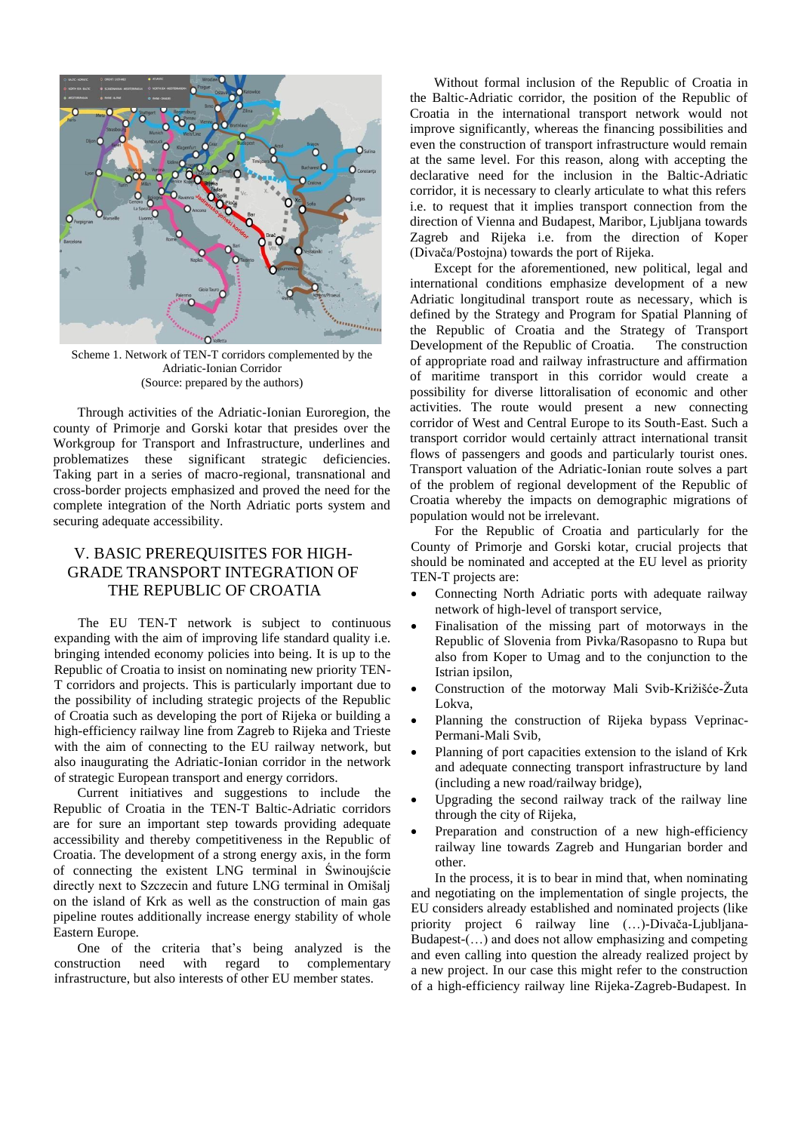

Scheme 1. Network of TEN-T corridors complemented by the Adriatic-Ionian Corridor (Source: prepared by the authors)

Through activities of the Adriatic-Ionian Euroregion, the county of Primorje and Gorski kotar that presides over the Workgroup for Transport and Infrastructure, underlines and problematizes these significant strategic deficiencies. Taking part in a series of macro-regional, transnational and cross-border projects emphasized and proved the need for the complete integration of the North Adriatic ports system and securing adequate accessibility.

## V. BASIC PREREQUISITES FOR HIGH-GRADE TRANSPORT INTEGRATION OF THE REPUBLIC OF CROATIA

The EU TEN-T network is subject to continuous expanding with the aim of improving life standard quality i.e. bringing intended economy policies into being. It is up to the Republic of Croatia to insist on nominating new priority TEN-T corridors and projects. This is particularly important due to the possibility of including strategic projects of the Republic of Croatia such as developing the port of Rijeka or building a high-efficiency railway line from Zagreb to Rijeka and Trieste with the aim of connecting to the EU railway network, but also inaugurating the Adriatic-Ionian corridor in the network of strategic European transport and energy corridors.

Current initiatives and suggestions to include the Republic of Croatia in the TEN-T Baltic-Adriatic corridors are for sure an important step towards providing adequate accessibility and thereby competitiveness in the Republic of Croatia. The development of a strong energy axis, in the form of connecting the existent LNG terminal in Świnoujście directly next to Szczecin and future LNG terminal in Omišalj on the island of Krk as well as the construction of main gas pipeline routes additionally increase energy stability of whole Eastern Europe.

One of the criteria that's being analyzed is the construction need with regard to complementary infrastructure, but also interests of other EU member states.

Without formal inclusion of the Republic of Croatia in the Baltic-Adriatic corridor, the position of the Republic of Croatia in the international transport network would not improve significantly, whereas the financing possibilities and even the construction of transport infrastructure would remain at the same level. For this reason, along with accepting the declarative need for the inclusion in the Baltic-Adriatic corridor, it is necessary to clearly articulate to what this refers i.e. to request that it implies transport connection from the direction of Vienna and Budapest, Maribor, Ljubljana towards Zagreb and Rijeka i.e. from the direction of Koper (Divača/Postojna) towards the port of Rijeka.

Except for the aforementioned, new political, legal and international conditions emphasize development of a new Adriatic longitudinal transport route as necessary, which is defined by the Strategy and Program for Spatial Planning of the Republic of Croatia and the Strategy of Transport Development of the Republic of Croatia. The construction of appropriate road and railway infrastructure and affirmation of maritime transport in this corridor would create a possibility for diverse littoralisation of economic and other activities. The route would present a new connecting corridor of West and Central Europe to its South-East. Such a transport corridor would certainly attract international transit flows of passengers and goods and particularly tourist ones. Transport valuation of the Adriatic-Ionian route solves a part of the problem of regional development of the Republic of Croatia whereby the impacts on demographic migrations of population would not be irrelevant.

For the Republic of Croatia and particularly for the County of Primorje and Gorski kotar, crucial projects that should be nominated and accepted at the EU level as priority TEN-T projects are:

- Connecting North Adriatic ports with adequate railway network of high-level of transport service,
- Finalisation of the missing part of motorways in the Republic of Slovenia from Pivka/Rasopasno to Rupa but also from Koper to Umag and to the conjunction to the Istrian ipsilon,
- Construction of the motorway Mali Svib-Križišće-Žuta Lokva,
- Planning the construction of Rijeka bypass Veprinac-Permani-Mali Svib,
- Planning of port capacities extension to the island of Krk and adequate connecting transport infrastructure by land (including a new road/railway bridge),
- Upgrading the second railway track of the railway line through the city of Rijeka,
- Preparation and construction of a new high-efficiency railway line towards Zagreb and Hungarian border and other.

In the process, it is to bear in mind that, when nominating and negotiating on the implementation of single projects, the EU considers already established and nominated projects (like priority project 6 railway line (…)-Divača-Ljubljana-Budapest-(…) and does not allow emphasizing and competing and even calling into question the already realized project by a new project. In our case this might refer to the construction of a high-efficiency railway line Rijeka-Zagreb-Budapest. In